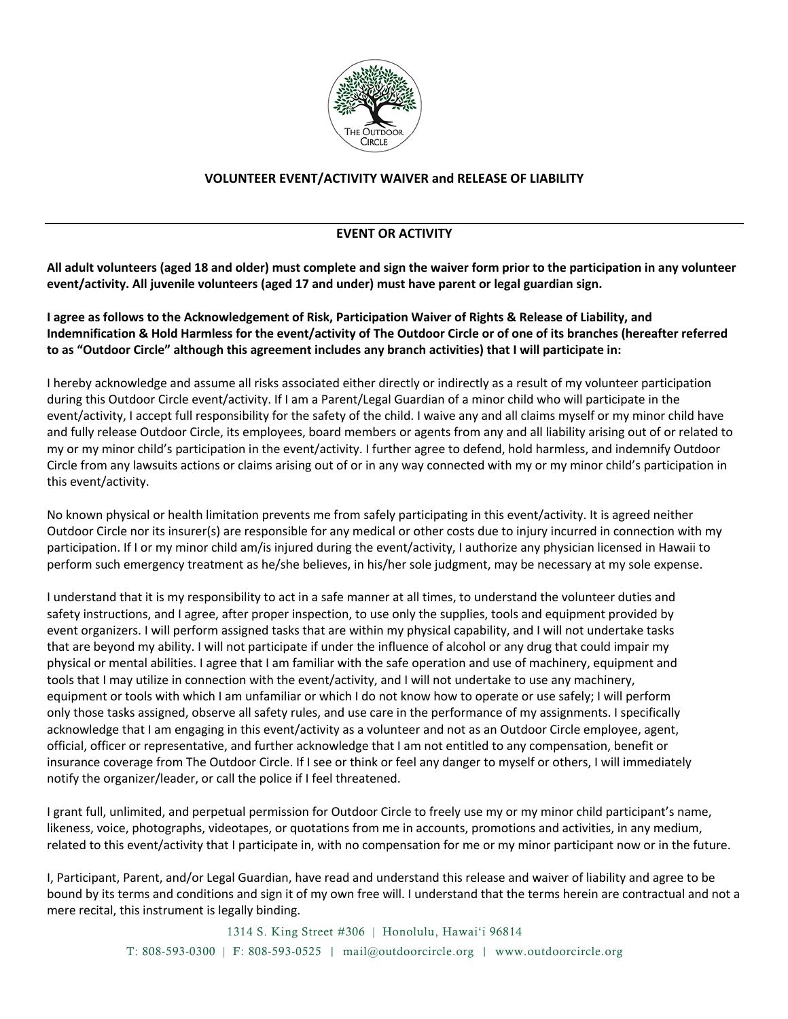

## **VOLUNTEER EVENT/ACTIVITY WAIVER and RELEASE OF LIABILITY**

## **EVENT OR ACTIVITY**

All adult volunteers (aged 18 and older) must complete and sign the waiver form prior to the participation in any volunteer **event/activity. All juvenile volunteers (aged 17 and under) must have parent or legal guardian sign.**

I agree as follows to the Acknowledgement of Risk, Participation Waiver of Rights & Release of Liability, and Indemnification & Hold Harmless for the event/activity of The Outdoor Circle or of one of its branches (hereafter referred **to as "Outdoor Circle" although this agreement includes any branch activities) that I will participate in:**

I hereby acknowledge and assume all risks associated either directly or indirectly as a result of my volunteer participation during this Outdoor Circle event/activity. If I am a Parent/Legal Guardian of a minor child who will participate in the event/activity, I accept full responsibility for the safety of the child. I waive any and all claims myself or my minor child have and fully release Outdoor Circle, its employees, board members or agents from any and all liability arising out of or related to my or my minor child's participation in the event/activity. I further agree to defend, hold harmless, and indemnify Outdoor Circle from any lawsuits actions or claims arising out of or in any way connected with my or my minor child's participation in this event/activity.

No known physical or health limitation prevents me from safely participating in this event/activity. It is agreed neither Outdoor Circle nor its insurer(s) are responsible for any medical or other costs due to injury incurred in connection with my participation. If I or my minor child am/is injured during the event/activity, I authorize any physician licensed in Hawaii to perform such emergency treatment as he/she believes, in his/her sole judgment, may be necessary at my sole expense.

I understand that it is my responsibility to act in a safe manner at all times, to understand the volunteer duties and safety instructions, and I agree, after proper inspection, to use only the supplies, tools and equipment provided by event organizers. I will perform assigned tasks that are within my physical capability, and I will not undertake tasks that are beyond my ability. I will not participate if under the influence of alcohol or any drug that could impair my physical or mental abilities. I agree that I am familiar with the safe operation and use of machinery, equipment and tools that I may utilize in connection with the event/activity, and I will not undertake to use any machinery, equipment or tools with which I am unfamiliar or which I do not know how to operate or use safely; I will perform only those tasks assigned, observe all safety rules, and use care in the performance of my assignments. I specifically acknowledge that I am engaging in this event/activity as a volunteer and not as an Outdoor Circle employee, agent, official, officer or representative, and further acknowledge that I am not entitled to any compensation, benefit or insurance coverage from The Outdoor Circle. If I see or think or feel any danger to myself or others, I will immediately notify the organizer/leader, or call the police if I feel threatened.

I grant full, unlimited, and perpetual permission for Outdoor Circle to freely use my or my minor child participant's name, likeness, voice, photographs, videotapes, or quotations from me in accounts, promotions and activities, in any medium, related to this event/activity that I participate in, with no compensation for me or my minor participant now or in the future.

I, Participant, Parent, and/or Legal Guardian, have read and understand this release and waiver of liability and agree to be bound by its terms and conditions and sign it of my own free will. I understand that the terms herein are contractual and not a mere recital, this instrument is legally binding.

> 1314 S. King Street #306 | Honolulu, Hawai'i 96814 T: 808-593-0300 | F: 808-593-0525 | mail@outdoorcircle.org | www.outdoorcircle.org